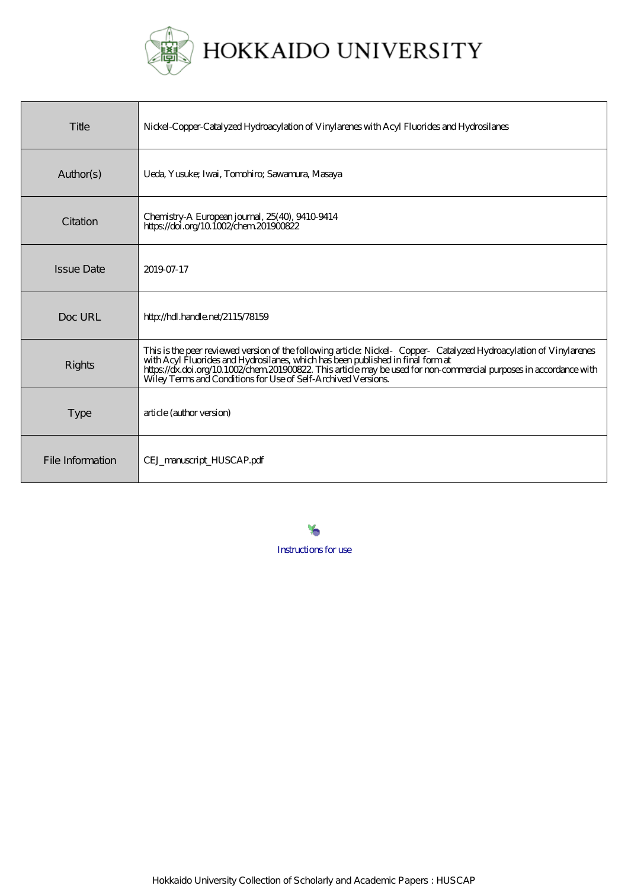

| Title             | Nickel-Copper-Catalyzed Hydroacylation of Vinylarenes with Acyl Fluorides and Hydrosilanes                                                                                                                                                                                                            |
|-------------------|-------------------------------------------------------------------------------------------------------------------------------------------------------------------------------------------------------------------------------------------------------------------------------------------------------|
| Author(s)         | Ueda, Yusuke; Iwai, Tomohiro; Sawamura, Masaya                                                                                                                                                                                                                                                        |
| Citation          | Chemistry A European journal, 25(40), 9410 9414<br>https://doi.org/10.1002/chem.201900822                                                                                                                                                                                                             |
| <b>Issue Date</b> | 2019-07-17                                                                                                                                                                                                                                                                                            |
| Doc URL           | http://hdl.handle.net/2115/78159                                                                                                                                                                                                                                                                      |
| <b>Rights</b>     | This is the peer reviewed version of the following article Nickel Copper Catalyzed Hydroacylation of Vinylarenes<br>with Acyl Fluorides and Hydrosilanes, which has been published in final format<br>https://dx.doi.org/10.1002/che<br>Wiley Terms and Conditions for Use of Self-Archived Versions. |
| <b>Type</b>       | article (author version)                                                                                                                                                                                                                                                                              |
| File Information  | CEJ_manuscript_HUSCAP.pdf                                                                                                                                                                                                                                                                             |



## [Instructions for use](https://eprints.lib.hokudai.ac.jp/dspace/about.en.jsp)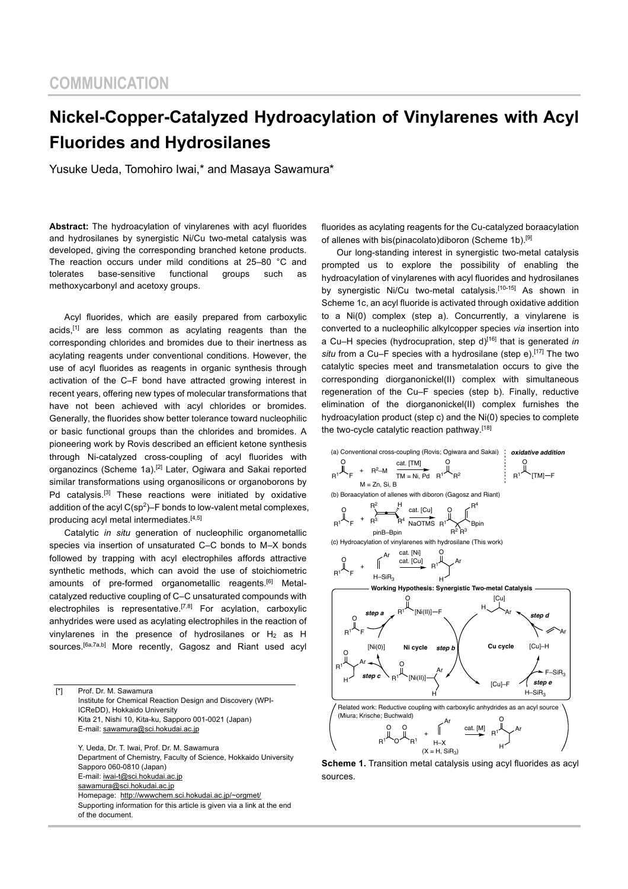# **Nickel-Copper-Catalyzed Hydroacylation of Vinylarenes with Acyl Fluorides and Hydrosilanes**

Yusuke Ueda, Tomohiro Iwai,\* and Masaya Sawamura\*

**Abstract:** The hydroacylation of vinylarenes with acyl fluorides and hydrosilanes by synergistic Ni/Cu two-metal catalysis was developed, giving the corresponding branched ketone products. The reaction occurs under mild conditions at 25–80 °C and tolerates base-sensitive functional groups such as methoxycarbonyl and acetoxy groups.

Acyl fluorides, which are easily prepared from carboxylic acids,[1] are less common as acylating reagents than the corresponding chlorides and bromides due to their inertness as acylating reagents under conventional conditions. However, the use of acyl fluorides as reagents in organic synthesis through activation of the C–F bond have attracted growing interest in recent years, offering new types of molecular transformations that have not been achieved with acyl chlorides or bromides. Generally, the fluorides show better tolerance toward nucleophilic or basic functional groups than the chlorides and bromides. A pioneering work by Rovis described an efficient ketone synthesis through Ni-catalyzed cross-coupling of acyl fluorides with organozincs (Scheme 1a).<sup>[2]</sup> Later, Ogiwara and Sakai reported similar transformations using organosilicons or organoborons by Pd catalysis.<sup>[3]</sup> These reactions were initiated by oxidative addition of the acyl  $C(sp^2)$ –F bonds to low-valent metal complexes, producing acyl metal intermediates.<sup>[4,5]</sup>

Catalytic *in situ* generation of nucleophilic organometallic species via insertion of unsaturated C–C bonds to M–X bonds followed by trapping with acyl electrophiles affords attractive synthetic methods, which can avoid the use of stoichiometric amounts of pre-formed organometallic reagents.[6] Metalcatalyzed reductive coupling of C–C unsaturated compounds with electrophiles is representative.<sup>[7,8]</sup> For acylation, carboxylic anhydrides were used as acylating electrophiles in the reaction of vinylarenes in the presence of hydrosilanes or  $H_2$  as H sources.<sup>[6a,7a,b]</sup> More recently, Gagosz and Riant used acyl

[\*] Prof. Dr. M. Sawamura Institute for Chemical Reaction Design and Discovery (WPI-ICReDD), Hokkaido University Kita 21, Nishi 10, Kita-ku, Sapporo 001-0021 (Japan) E-mail: sawamura@sci.hokudai.ac.jp

> Y. Ueda, Dr. T. Iwai, Prof. Dr. M. Sawamura Department of Chemistry, Faculty of Science, Hokkaido University Sapporo 060-0810 (Japan) E-mail: iwai-t@sci.hokudai.ac.jp sawamura@sci.hokudai.ac.jp Homepage: http://wwwchem.sci.hokudai.ac.jp/~orgmet/ Supporting information for this article is given via a link at the end of the document.

fluorides as acylating reagents for the Cu-catalyzed boraacylation of allenes with bis(pinacolato)diboron (Scheme 1b).<sup>[9]</sup>

Our long-standing interest in synergistic two-metal catalysis prompted us to explore the possibility of enabling the hydroacylation of vinylarenes with acyl fluorides and hydrosilanes by synergistic Ni/Cu two-metal catalysis.<sup>[10-15]</sup> As shown in Scheme 1c, an acyl fluoride is activated through oxidative addition to a Ni(0) complex (step a). Concurrently, a vinylarene is converted to a nucleophilic alkylcopper species *via* insertion into a Cu–H species (hydrocupration, step d)[16] that is generated *in*  situ from a Cu–F species with a hydrosilane (step e).<sup>[17]</sup> The two catalytic species meet and transmetalation occurs to give the corresponding diorganonickel(II) complex with simultaneous regeneration of the Cu–F species (step b). Finally, reductive elimination of the diorganonickel(II) complex furnishes the hydroacylation product (step c) and the Ni(0) species to complete the two-cycle catalytic reaction pathway.<sup>[18]</sup>



**Scheme 1.** Transition metal catalysis using acyl fluorides as acyl sources.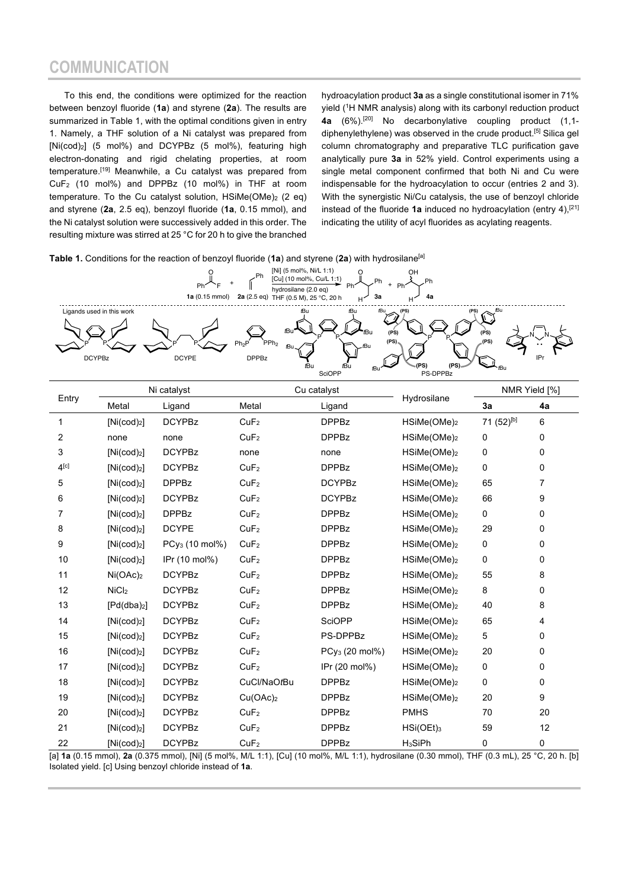## **COMMUNICATION**

To this end, the conditions were optimized for the reaction between benzoyl fluoride (**1a**) and styrene (**2a**). The results are summarized in Table 1, with the optimal conditions given in entry 1. Namely, a THF solution of a Ni catalyst was prepared from [Ni(cod)2] (5 mol%) and DCYPBz (5 mol%), featuring high electron-donating and rigid chelating properties, at room temperature.[19] Meanwhile, a Cu catalyst was prepared from CuF2 (10 mol%) and DPPBz (10 mol%) in THF at room temperature. To the Cu catalyst solution, HSiMe(OMe)<sub>2</sub> (2 eq) and styrene (**2a**, 2.5 eq), benzoyl fluoride (**1a**, 0.15 mmol), and the Ni catalyst solution were successively added in this order. The resulting mixture was stirred at 25 °C for 20 h to give the branched

hydroacylation product **3a** as a single constitutional isomer in 71% yield (1 H NMR analysis) along with its carbonyl reduction product **4a** (6%).[20] No decarbonylative coupling product (1,1 diphenylethylene) was observed in the crude product.<sup>[5]</sup> Silica gel column chromatography and preparative TLC purification gave analytically pure **3a** in 52% yield. Control experiments using a single metal component confirmed that both Ni and Cu were indispensable for the hydroacylation to occur (entries 2 and 3). With the synergistic Ni/Cu catalysis, the use of benzoyl chloride instead of the fluoride 1a induced no hydroacylation (entry 4),<sup>[21]</sup> indicating the utility of acyl fluorides as acylating reagents.

**Table 1.** Conditions for the reaction of benzoyl fluoride (**1a**) and styrene (**2a**) with hydrosilane[a]



| Entry     |                         |                            |                      |                            |                         |                        |    |
|-----------|-------------------------|----------------------------|----------------------|----------------------------|-------------------------|------------------------|----|
|           | Metal                   | Ligand                     | Metal                | Ligand                     | Hydrosilane             | 3a                     | 4a |
| 1         | [Ni(cod) <sub>2</sub> ] | <b>DCYPBz</b>              | CuF <sub>2</sub>     | <b>DPPBz</b>               | HSiMe(OMe) <sub>2</sub> | 71 (52) <sup>[b]</sup> | 6  |
| 2         | none                    | none                       | CuF <sub>2</sub>     | <b>DPPBz</b>               | HSiMe(OMe) <sub>2</sub> | 0                      | 0  |
| 3         | [Ni(cod) <sub>2</sub> ] | <b>DCYPBz</b>              | none                 | none                       | HSiMe(OMe) <sub>2</sub> | 0                      | 0  |
| $4^{[c]}$ | [Ni(cod) <sub>2</sub> ] | <b>DCYPBz</b>              | CuF <sub>2</sub>     | <b>DPPBz</b>               | HSiMe(OMe) <sub>2</sub> | 0                      | 0  |
| 5         | [Ni(cod) <sub>2</sub> ] | <b>DPPBz</b>               | CuF <sub>2</sub>     | <b>DCYPBz</b>              | HSiMe(OMe) <sub>2</sub> | 65                     | 7  |
| 6         | [Ni(cod) <sub>2</sub> ] | <b>DCYPBz</b>              | CuF <sub>2</sub>     | <b>DCYPBz</b>              | HSiMe(OMe) <sub>2</sub> | 66                     | 9  |
| 7         | [Ni(cod) <sub>2</sub> ] | <b>DPPBz</b>               | CuF <sub>2</sub>     | <b>DPPBz</b>               | $HSiMe(OME)_2$          | 0                      | 0  |
| 8         | [Ni(cod) <sub>2</sub> ] | <b>DCYPE</b>               | CuF <sub>2</sub>     | <b>DPPBz</b>               | $HSiMe(OME)_2$          | 29                     | 0  |
| 9         | [Ni(cod) <sub>2</sub> ] | PCy <sub>3</sub> (10 mol%) | CuF <sub>2</sub>     | <b>DPPBz</b>               | HSiMe(OMe) <sub>2</sub> | 0                      | 0  |
| 10        | [Ni(cod) <sub>2</sub> ] | IPr (10 mol%)              | CuF <sub>2</sub>     | <b>DPPBz</b>               | HSiMe(OMe) <sub>2</sub> | 0                      | 0  |
| 11        | Ni(OAc) <sub>2</sub>    | <b>DCYPBz</b>              | CuF <sub>2</sub>     | <b>DPPBz</b>               | $HSiMe(OME)_2$          | 55                     | 8  |
| 12        | NiCl <sub>2</sub>       | <b>DCYPBz</b>              | CuF <sub>2</sub>     | <b>DPPBz</b>               | $HSiMe(OME)_2$          | 8                      | 0  |
| 13        | [Pd(dba) <sub>2</sub> ] | <b>DCYPBz</b>              | CuF <sub>2</sub>     | <b>DPPBz</b>               | HSiMe(OMe) <sub>2</sub> | 40                     | 8  |
| 14        | [Ni(cod) <sub>2</sub> ] | <b>DCYPBz</b>              | CuF <sub>2</sub>     | <b>SciOPP</b>              | HSiMe(OMe) <sub>2</sub> | 65                     | 4  |
| 15        | [Ni(cod) <sub>2</sub> ] | <b>DCYPBz</b>              | CuF <sub>2</sub>     | PS-DPPBz                   | HSiMe(OMe) <sub>2</sub> | 5                      | 0  |
| $16\,$    | [Ni(cod) <sub>2</sub> ] | <b>DCYPBz</b>              | CuF <sub>2</sub>     | PCy <sub>3</sub> (20 mol%) | $HSiMe(OME)_2$          | 20                     | 0  |
| 17        | [Ni(cod) <sub>2</sub> ] | <b>DCYPBz</b>              | CuF <sub>2</sub>     | IPr (20 mol%)              | $HSiMe(OME)_2$          | 0                      | 0  |
| 18        | [Ni(cod) <sub>2</sub> ] | <b>DCYPBz</b>              | CuCl/NaOtBu          | <b>DPPBz</b>               | HSiMe(OMe) <sub>2</sub> | 0                      | 0  |
| 19        | [Ni(cod) <sub>2</sub> ] | <b>DCYPBz</b>              | Cu(OAc) <sub>2</sub> | <b>DPPBz</b>               | HSiMe(OMe) <sub>2</sub> | 20                     | 9  |
| 20        | [Ni(cod) <sub>2</sub> ] | <b>DCYPBz</b>              | CuF <sub>2</sub>     | <b>DPPBz</b>               | <b>PMHS</b>             | 70                     | 20 |
| 21        | [Ni(cod) <sub>2</sub> ] | <b>DCYPBz</b>              | CuF <sub>2</sub>     | <b>DPPBz</b>               | $HSi(OEt)$ <sub>3</sub> | 59                     | 12 |
| 22        | [Ni(cod) <sub>2</sub> ] | <b>DCYPBz</b>              | CuF <sub>2</sub>     | <b>DPPBz</b>               | H <sub>3</sub> SiPh     | 0                      | 0  |

[a] **1a** (0.15 mmol), **2a** (0.375 mmol), [Ni] (5 mol%, M/L 1:1), [Cu] (10 mol%, M/L 1:1), hydrosilane (0.30 mmol), THF (0.3 mL), 25 °C, 20 h. [b] Isolated yield. [c] Using benzoyl chloride instead of **1a**.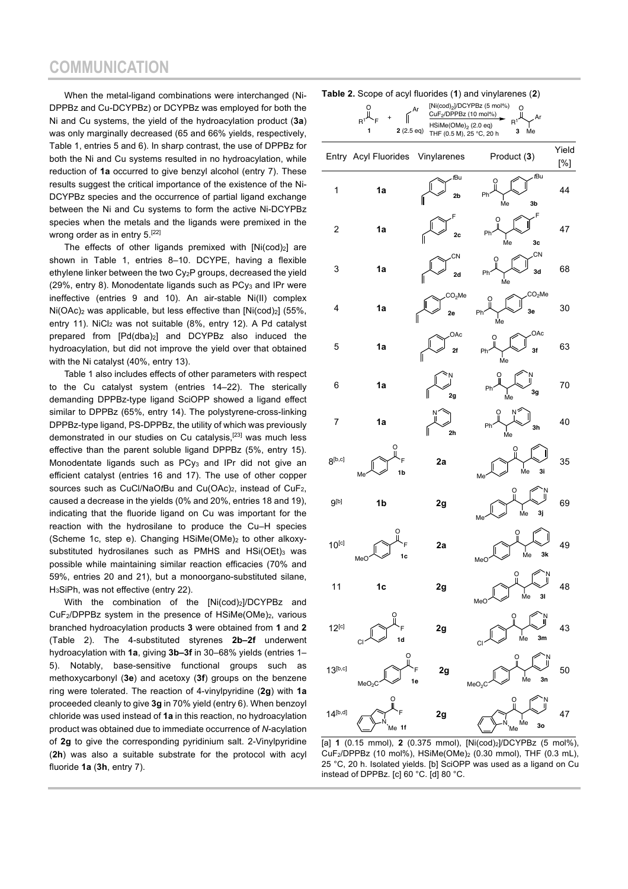## **COMMUNICATION**

When the metal-ligand combinations were interchanged (Ni-DPPBz and Cu-DCYPBz) or DCYPBz was employed for both the Ni and Cu systems, the yield of the hydroacylation product (**3a**) was only marginally decreased (65 and 66% yields, respectively, Table 1, entries 5 and 6). In sharp contrast, the use of DPPBz for both the Ni and Cu systems resulted in no hydroacylation, while reduction of **1a** occurred to give benzyl alcohol (entry 7). These results suggest the critical importance of the existence of the Ni-DCYPBz species and the occurrence of partial ligand exchange between the Ni and Cu systems to form the active Ni-DCYPBz species when the metals and the ligands were premixed in the wrong order as in entry 5.<sup>[22]</sup>

The effects of other ligands premixed with [Ni(cod)2] are shown in Table 1, entries 8–10. DCYPE, having a flexible ethylene linker between the two Cy2P groups, decreased the yield (29%, entry 8). Monodentate ligands such as PCy<sub>3</sub> and IPr were ineffective (entries 9 and 10). An air-stable Ni(II) complex Ni(OAc)<sub>2</sub> was applicable, but less effective than [Ni(cod)<sub>2</sub>] (55%, entry 11). NiCl2 was not suitable (8%, entry 12). A Pd catalyst prepared from [Pd(dba)2] and DCYPBz also induced the hydroacylation, but did not improve the yield over that obtained with the Ni catalyst (40%, entry 13).

Table 1 also includes effects of other parameters with respect to the Cu catalyst system (entries 14–22). The sterically demanding DPPBz-type ligand SciOPP showed a ligand effect similar to DPPBz (65%, entry 14). The polystyrene-cross-linking DPPBz-type ligand, PS-DPPBz, the utility of which was previously demonstrated in our studies on Cu catalysis,[23] was much less effective than the parent soluble ligand DPPBz (5%, entry 15). Monodentate ligands such as PCy<sub>3</sub> and IPr did not give an efficient catalyst (entries 16 and 17). The use of other copper sources such as CuCl/NaOtBu and Cu(OAc)<sub>2</sub>, instead of CuF<sub>2</sub>, caused a decrease in the yields (0% and 20%, entries 18 and 19), indicating that the fluoride ligand on Cu was important for the reaction with the hydrosilane to produce the Cu–H species (Scheme 1c, step e). Changing  $HSiMe(OMe)_2$  to other alkoxysubstituted hydrosilanes such as PMHS and  $HSi(OEt)_{3}$  was possible while maintaining similar reaction efficacies (70% and 59%, entries 20 and 21), but a monoorgano-substituted silane, H3SiPh, was not effective (entry 22).

With the combination of the [Ni(cod)<sub>2</sub>]/DCYPBz and CuF<sub>2</sub>/DPPBz system in the presence of HSiMe(OMe)<sub>2</sub>, various branched hydroacylation products **3** were obtained from **1** and **2** (Table 2). The 4-substituted styrenes **2b–2f** underwent hydroacylation with **1a**, giving **3b–3f** in 30–68% yields (entries 1– 5). Notably, base-sensitive functional groups such as methoxycarbonyl (**3e**) and acetoxy (**3f**) groups on the benzene ring were tolerated. The reaction of 4-vinylpyridine (**2g**) with **1a** proceeded cleanly to give **3g** in 70% yield (entry 6). When benzoyl chloride was used instead of **1a** in this reaction, no hydroacylation product was obtained due to immediate occurrence of *N*-acylation of **2g** to give the corresponding pyridinium salt. 2-Vinylpyridine (**2h**) was also a suitable substrate for the protocol with acyl fluoride **1a** (**3h**, entry 7).

| Table 2. Scope of acyl fluorides (1) and vinylarenes (2) |  |  |
|----------------------------------------------------------|--|--|
|----------------------------------------------------------|--|--|

|                  | $\mathsf{R}^2$<br>$2(2.5 \text{ eq})$ | ~~ \ • /<br>Ar<br>CuF2/DPPBz (10 mol%)<br>HSiMe(OMe) <sub>2</sub> (2.0 eq)<br>THF (0.5 M), 25 °C, 20 h | $1.14$<br>.<br>[Ni(cod) <sub>2</sub> ]/DCYPBz (5 mol%)<br>O<br>Ar<br>R <sup>1</sup><br>Me<br>3 |              |
|------------------|---------------------------------------|--------------------------------------------------------------------------------------------------------|------------------------------------------------------------------------------------------------|--------------|
|                  | Entry Acyl Fluorides                  | Vinylarenes                                                                                            | Product (3)                                                                                    | Yield<br>[%] |
| 1                | 1a                                    | tBu<br>2b                                                                                              | . <i>t</i> Bu<br>O<br>Ph<br>3b<br>Me                                                           | 44           |
| 2                | 1a                                    | 2c                                                                                                     | F<br>O<br>Ph<br>Ńе<br>3c                                                                       | 47           |
| 3                | 1a                                    | CN<br>2d                                                                                               | CN<br>O<br>3d<br>Ph<br>Me                                                                      | 68           |
| 4                | 1a                                    | CO <sub>2</sub> Me<br>2e                                                                               | CO <sub>2</sub> Me<br>O<br>3e<br>Ph<br>Me                                                      | 30           |
| 5                | 1a                                    | OAc<br>2f                                                                                              | OAc<br>3f<br>PI<br>Me                                                                          | 63           |
| 6                | 1a                                    | 2g                                                                                                     | Ph<br>3g<br>Me                                                                                 | 70           |
| 7                | 1a                                    | 2h                                                                                                     | N۶<br>Ph<br>3h<br>Me                                                                           | 40           |
| $8^{[b,c]}$      | O<br>Ë<br>1b<br>Me                    | 2a                                                                                                     | O<br>3i<br>Me<br>Me                                                                            | 35           |
| 9 <sup>[b]</sup> | 1b                                    | 2g                                                                                                     | ဂူ<br>।<br>Me<br>3j<br>Me                                                                      | 69           |
| $10^{[c]}$       | O<br>1c<br>MeC                        | 2a                                                                                                     | ı<br>Ме<br>3k<br>MeC                                                                           | 49           |
| 11               | 1 <sub>c</sub>                        | 2g                                                                                                     | $\overline{0}$<br>$\mathsf{\dot{M}}$ e<br>31<br>MeC                                            | 48           |
| $12^{[c]}$       | O<br>1d                               | 2g                                                                                                     | $\Omega$<br>।<br>Me<br>3m<br>С                                                                 | 43           |
| $13^{[b,c]}$     | Ō<br>MeO <sub>2</sub>                 | 2g<br>1e                                                                                               | $\overline{0}$<br>∣<br>Ме<br>3n<br>MeO <sub>2</sub>                                            | 50           |
| $14^{[b,d]}$     | Me 1f                                 | 2g                                                                                                     | $\alpha$<br>Мe<br>3o<br>Me                                                                     | 47           |

[a] **1** (0.15 mmol), **2** (0.375 mmol), [Ni(cod)2]/DCYPBz (5 mol%), CuF2/DPPBz (10 mol%), HSiMe(OMe)2 (0.30 mmol), THF (0.3 mL), 25 °C, 20 h. Isolated yields. [b] SciOPP was used as a ligand on Cu instead of DPPBz. [c] 60 °C. [d] 80 °C.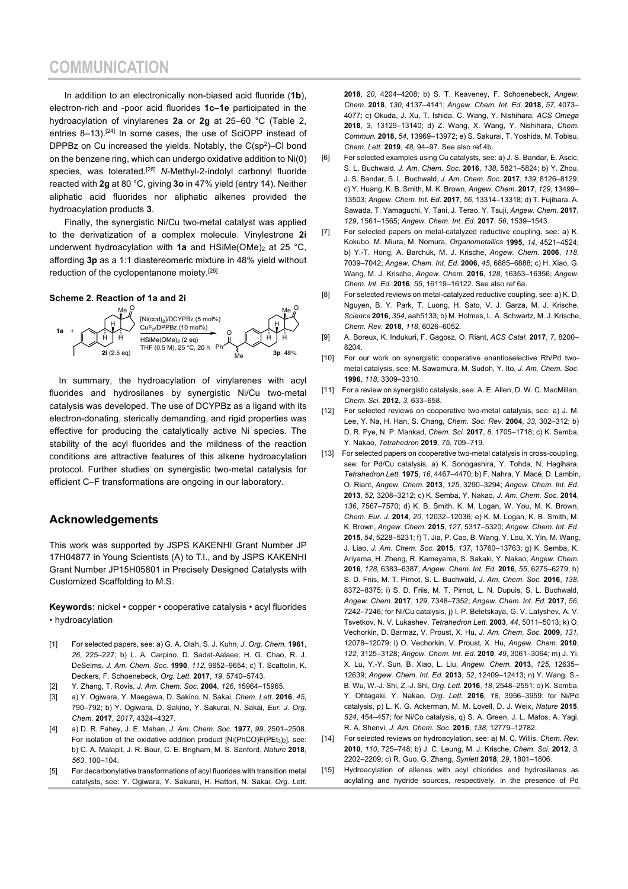In addition to an electronically non-biased acid fluoride (**1b**), electron-rich and -poor acid fluorides **1c–1e** participated in the hydroacylation of vinylarenes **2a** or **2g** at 25–60 °C (Table 2, entries 8-13).<sup>[24]</sup> In some cases, the use of SciOPP instead of DPPBz on Cu increased the yields. Notably, the  $C(sp^2)$ -Cl bond on the benzene ring, which can undergo oxidative addition to Ni(0) species, was tolerated.[25] *N*-Methyl-2-indolyl carbonyl fluoride reacted with **2g** at 80 °C, giving **3o** in 47% yield (entry 14). Neither aliphatic acid fluorides nor aliphatic alkenes provided the hydroacylation products **3**.

Finally, the synergistic Ni/Cu two-metal catalyst was applied to the derivatization of a complex molecule. Vinylestrone **2i** underwent hydroacylation with **1a** and HSiMe(OMe)<sub>2</sub> at 25 °C, affording **3p** as a 1:1 diastereomeric mixture in 48% yield without reduction of the cyclopentanone moiety.[26]

#### **Scheme 2. Reaction of 1a and 2i**



In summary, the hydroacylation of vinylarenes with acyl fluorides and hydrosilanes by synergistic Ni/Cu two-metal catalysis was developed. The use of DCYPBz as a ligand with its electron-donating, sterically demanding, and rigid properties was effective for producing the catalytically active Ni species. The stability of the acyl fluorides and the mildness of the reaction conditions are attractive features of this alkene hydroacylation protocol. Further studies on synergistic two-metal catalysis for efficient C–F transformations are ongoing in our laboratory.

### **Acknowledgements**

This work was supported by JSPS KAKENHI Grant Number JP 17H04877 in Young Scientists (A) to T.I., and by JSPS KAKENHI Grant Number JP15H05801 in Precisely Designed Catalysts with Customized Scaffolding to M.S.

**Keywords:** nickel • copper • cooperative catalysis • acyl fluorides • hydroacylation

- [1] For selected papers, see: a) G. A. Olah, S. J. Kuhn, *J. Org. Chem.* **1961**, *26*, 225–227; b) L. A. Carpino, D. Sadat-Aalaee, H. G. Chao, R. J. DeSelms, *J. Am. Chem. Soc.* **1990**, *112*, 9652–9654; c) T. Scattolin, K. Deckers, F. Schoenebeck, *Org. Lett.* **2017**, *19*, 5740–5743.
- [2] Y. Zhang, T. Rovis, *J. Am. Chem. Soc.* **2004**, *126*, 15964–15965.
- [3] a) Y. Ogiwara, Y. Maegawa, D. Sakino, N. Sakai, *Chem. Lett.* **2016**, *45*, 790–792; b) Y. Ogiwara, D. Sakino, Y. Sakurai, N. Sakai, *Eur. J. Org. Chem.* **2017**, *2017*, 4324–4327.
- [4] a) D. R. Fahey, J. E. Mahan, *J. Am. Chem. Soc.* **1977**, *99*, 2501–2508. For isolation of the oxidative addition product [Ni(PhCO)F(PEt3)2], see: b) C. A. Malapit, J. R. Bour, C. E. Brigham, M. S. Sanford, *Nature* **2018**, *563*, 100–104.
- [5] For decarbonylative transformations of acyl fluorides with transition metal catalysts, see: Y. Ogiwara, Y. Sakurai, H. Hattori, N. Sakai, *Org. Lett.*

**2018**, *20*, 4204–4208; b) S. T. Keaveney, F. Schoenebeck, *Angew. Chem.* **2018**, *130*, 4137–4141; *Angew. Chem. Int. Ed.* **2018**, *57*, 4073– 4077; c) Okuda, J. Xu, T. Ishida, C. Wang, Y. Nishihara, *ACS Omega* **2018**, *3*, 13129–13140; d) Z. Wang, X. Wang, Y. Nishihara, *Chem. Commun.* **2018**, *54*, 13969–13972; e) S. Sakurai, T. Yoshida, M. Tobisu, *Chem. Lett.* **2019**, *48*, 94–97. See also ref 4b.

- [6] For selected examples using Cu catalysts, see: a) J. S. Bandar, E. Ascic, S. L. Buchwald, *J. Am. Chem. Soc.* **2016**, *138*, 5821–5824; b) Y. Zhou, J. S. Bandar, S. L. Buchwald, *J. Am. Chem. Soc.* **2017**, *139*, 8126–8129; c) Y. Huang, K. B. Smith, M. K. Brown, *Angew. Chem.* **2017**, *129*, 13499– 13503; *Angew. Chem. Int. Ed.* **2017**, *56*, 13314–13318; d) T. Fujihara, A. Sawada, T. Yamaguchi, Y. Tani, J. Terao, Y. Tsuji, *Angew. Chem.* **2017**, *129*, 1561–1565; *Angew. Chem. Int. Ed.* **2017**, *56*, 1539–1543.
- [7] For selected papers on metal-catalyzed reductive coupling, see: a) K. Kokubo, M. Miura, M. Nomura, *Organometallics* **1995**, *14*, 4521–4524; b) Y.-T. Hong, A. Barchuk, M. J. Krische, *Angew. Chem.* **2006**, *118*, 7039–7042; *Angew. Chem. Int. Ed.* **2006**, *45*, 6885–6888; c) H. Xiao, G. Wang, M. J. Krische, *Angew. Chem.* **2016**, *128*, 16353–16356; *Angew. Chem. Int. Ed.* **2016**, *55*, 16119–16122. See also ref 6a.
- [8] For selected reviews on metal-catalyzed reductive coupling, see: a) K. D. Nguyen, B. Y. Park, T. Luong, H. Sato, V. J. Garza, M. J. Krische, *Science* **2016**, *354*, aah5133; b) M. Holmes, L. A. Schwartz, M. J. Krische, *Chem. Rev.* **2018**, *118*, 6026–6052.
- [9] A. Boreux, K. Indukuri, F. Gagosz, O. Riant, *ACS Catal.* **2017**, *7*, 8200– 8204.
- [10] For our work on synergistic cooperative enantioselective Rh/Pd twometal catalysis, see: M. Sawamura, M. Sudoh, Y. Ito, *J. Am. Chem. Soc*. **1996**, *118*, 3309–3310.
- [11] For a review on synergistic catalysis, see: A. E. Allen, D. W. C. MacMillan, *Chem. Sci.* **2012**, *3*, 633–658.
- [12] For selected reviews on cooperative two-metal catalysis, see: a) J. M. Lee, Y. Na, H. Han, S. Chang, *Chem. Soc. Rev.* **2004**, *33*, 302–312; b) D. R. Pye, N. P. Mankad, *Chem. Sci.* **2017**, *8*, 1705–1718; c) K. Semba, Y. Nakao, *Tetrahedron* **2019**, *75,* 709–719.
- [13] For selected papers on cooperative two-metal catalysis in cross-coupling, see: for Pd/Cu catalysis, a) K. Sonogashira, Y. Tohda, N. Hagihara, *Tetrahedron Lett.* **1975**, *16*, 4467–4470; b) F. Nahra, Y. Macé, D. Lambin, O. Riant, *Angew. Chem.* **2013**, *125*, 3290–3294; *Angew. Chem. Int. Ed.* **2013**, *52*, 3208–3212; c) K. Semba, Y. Nakao, *J. Am. Chem. Soc.* **2014**, *136*, 7567–7570; d) K. B. Smith, K. M. Logan, W. You, M. K. Brown, *Chem. Eur. J.* **2014**, *20*, 12032–12036; e) K. M. Logan, K. B. Smith, M. K. Brown, *Angew. Chem.* **2015**, *127*, 5317–5320; *Angew. Chem. Int. Ed.* **2015**, *54*, 5228–5231; f) T. Jia, P. Cao, B. Wang, Y. Lou, X. Yin, M. Wang, J. Liao, *J. Am. Chem. Soc.* **2015**, *137*, 13760–13763; g) K. Semba, K. Ariyama, H. Zheng, R. Kameyama, S. Sakaki, Y. Nakao, *Angew. Chem.* **2016**, *128*, 6383–6387; *Angew. Chem. Int. Ed.* **2016**, *55*, 6275–6279; h) S. D. Friis, M. T. Pirnot, S. L. Buchwald, *J. Am. Chem. Soc.* **2016**, *138*, 8372–8375; i) S. D. Friis, M. T. Pirnot, L. N. Dupuis, S. L. Buchwald, *Angew. Chem.* **2017**, *129*, 7348–7352; *Angew. Chem. Int. Ed.* **2017**, *56*, 7242–7246; for Ni/Cu catalysis, j) I. P. Beletskaya, G. V. Latyshev, A. V. Tsvetkov, N. V. Lukashev, *Tetrahedron Lett.* **2003**, *44*, 5011–5013; k) O. Vechorkin, D. Barmaz, V. Proust, X. Hu, *J. Am. Chem. Soc.* **2009**, *131*, 12078–12079; l) O. Vechorkin, V. Proust, X. Hu, *Angew. Chem.* **2010**, *122*, 3125–3128; *Angew. Chem. Int. Ed.* **2010**, *49*, 3061–3064; m) J. Yi, X. Lu, Y.-Y. Sun, B. Xiao, L. Liu, *Angew. Chem.* **2013**, *125*, 12635– 12639; *Angew. Chem. Int. Ed.* **2013**, *52*, 12409–12413; n) Y. Wang, S.- B. Wu, W.-J. Shi, Z.-J. Shi, *Org. Lett.* **2016**, *18*, 2548–2551; o) K. Semba, Y. Ohtagaki, Y. Nakao, *Org. Lett.* **2016**, *18*, 3956–3959; for Ni/Pd catalysis, p) L. K. G. Ackerman, M. M. Lovell, D. J. Weix, *Nature* **2015**, *524*, 454–457; for Ni/Co catalysis, q) S. A. Green, J. L. Matos, A. Yagi, R. A. Shenvi, *J. Am. Chem. Soc.* **2016**, *138*, 12779–12782.
- [14] For selected reviews on hydroacylation, see: a) M. C. Willis, *Chem. Rev.* **2010**, *110*, 725–748; b) J. C. Leung, M. J. Krische, *Chem. Sci.* **2012**, *3*, 2202–2209; c) R. Guo, G. Zhang, *Synlett* **2018**, *29*, 1801–1806.
- [15] Hydroacylation of allenes with acyl chlorides and hydrosilanes as acylating and hydride sources, respectively, in the presence of Pd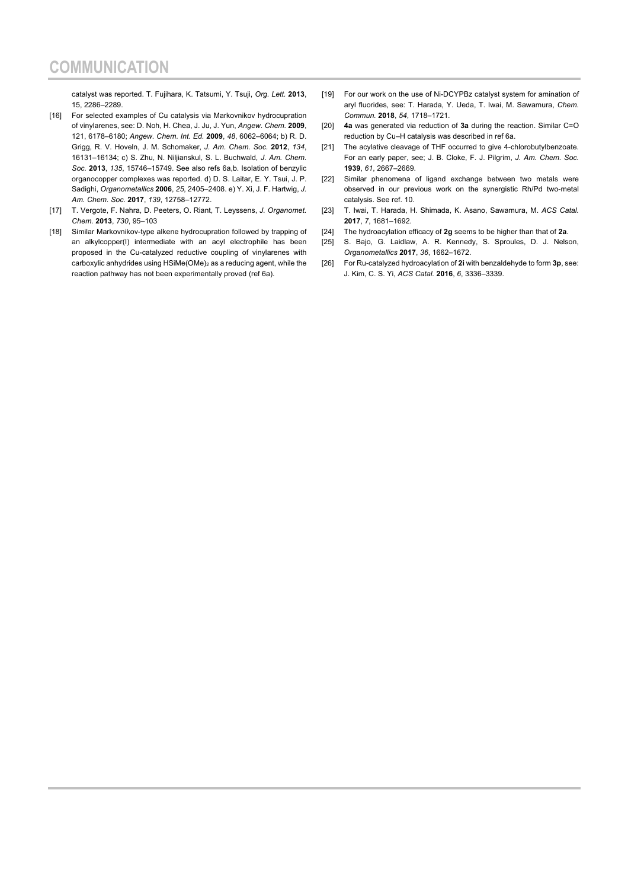catalyst was reported. T. Fujihara, K. Tatsumi, Y. Tsuji, *Org. Lett.* **2013**, 15, 2286–2289.

- [16] For selected examples of Cu catalysis via Markovnikov hydrocupration of vinylarenes, see: D. Noh, H. Chea, J. Ju, J. Yun, *Angew. Chem.* **2009**, 121, 6178–6180; *Angew. Chem. Int. Ed.* **2009**, *48*, 6062–6064; b) R. D. Grigg, R. V. Hoveln, J. M. Schomaker, *J. Am. Chem. Soc.* **2012**, *134*, 16131–16134; c) S. Zhu, N. Niljianskul, S. L. Buchwald, *J. Am. Chem. Soc.* **2013**, *135*, 15746–15749. See also refs 6a,b. Isolation of benzylic organocopper complexes was reported. d) D. S. Laitar, E. Y. Tsui, J. P. Sadighi, *Organometallics* **2006**, *25*, 2405–2408. e) Y. Xi, J. F. Hartwig, *J. Am. Chem. Soc.* **2017**, *139*, 12758–12772.
- [17] T. Vergote, F. Nahra, D. Peeters, O. Riant, T. Leyssens, *J. Organomet. Chem.* **2013**, *730*, 95–103
- [18] Similar Markovnikov-type alkene hydrocupration followed by trapping of an alkylcopper(I) intermediate with an acyl electrophile has been proposed in the Cu-catalyzed reductive coupling of vinylarenes with carboxylic anhydrides using HSiMe(OMe)2 as a reducing agent, while the reaction pathway has not been experimentally proved (ref 6a).
- [19] For our work on the use of Ni-DCYPBz catalyst system for amination of aryl fluorides, see: T. Harada, Y. Ueda, T. Iwai, M. Sawamura, *Chem. Commun.* **2018**, *54*, 1718–1721.
- [20] **4a** was generated via reduction of **3a** during the reaction. Similar C=O reduction by Cu–H catalysis was described in ref 6a.
- [21] The acylative cleavage of THF occurred to give 4-chlorobutylbenzoate. For an early paper, see; J. B. Cloke, F. J. Pilgrim, *J. Am. Chem. Soc.* **1939**, *61*, 2667–2669.
- [22] Similar phenomena of ligand exchange between two metals were observed in our previous work on the synergistic Rh/Pd two-metal catalysis. See ref. 10.
- [23] T. Iwai, T. Harada, H. Shimada, K. Asano, Sawamura, M. *ACS Catal.* **2017**, *7*, 1681–1692.
- [24] The hydroacylation efficacy of **2g** seems to be higher than that of **2a**.
- [25] S. Bajo, G. Laidlaw, A. R. Kennedy, S. Sproules, D. J. Nelson, *Organometallics* **2017**, *36*, 1662–1672.
- [26] For Ru-catalyzed hydroacylation of **2i** with benzaldehyde to form **3p**, see: J. Kim, C. S. Yi, *ACS Catal.* **2016**, *6*, 3336–3339.